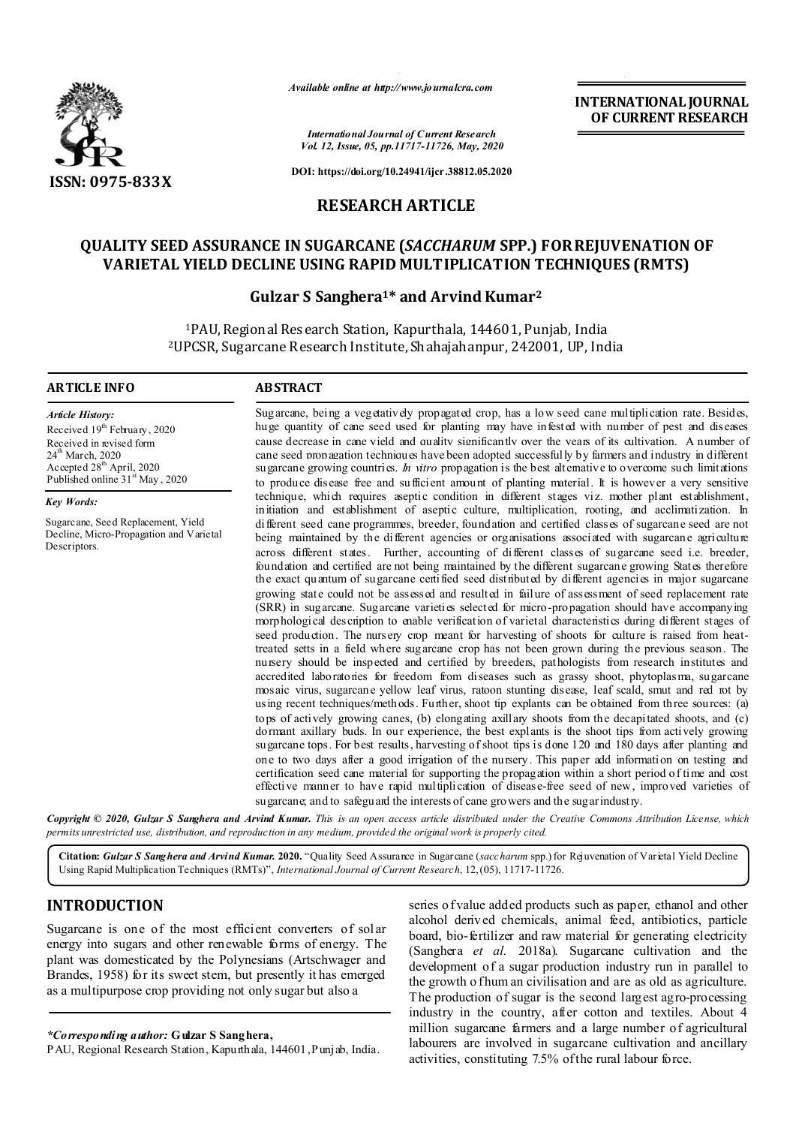

*Available online at http://www.journalcra.com*

**INTERNATIONAL JOURNAL OF CURRENT RESEARCH**

*International Journal of Current Research Vol. 12, Issue, 05, pp.11717-11726, May, 2020*

**DOI: https://doi.org/10.24941/ijcr.38812.05.2020**

## **RESEARCH ARTICLE**

# **QUALITY SEED ASSURANCE IN SUGARCANE (***SACCHARUM* **SPP.) FOR REJUVENATION OF VARIETAL YIELD DECLINE USING RAPID MULTIPLICATION TECHNIQUES (RMTS)**

## **Gulzar S Sanghera1\* and Arvind Kumar2**

1PAU, Regional Research Station, Kapurthala, 144601, Punjab, India 2UPCSR, Sugarcane Research Institute, Shahajahanpur, 242001, UP, India

### **ARTICLE INFO ABSTRACT**

*Article History:* Received 19<sup>th</sup> February, 2020 Received in revised form 24<sup>th</sup> March, 2020 Accepted 28<sup>th</sup> April, 2020 Published online  $31<sup>st</sup>$  May, 2020

*Key Words:*

Sugarcane, Seed Replacement, Yield Decline, Micro-Propagation and Varietal Descriptors.

Sugarcane, being a vegetatively propagated crop, has a low seed cane multiplication rate. Besides, huge quantity of cane seed used for planting may have infested with number of pest and diseases cause decrease in cane yield and quality significantly over the years of its cultivation. A number of cane seed propagation techniques have been adopted successfully by farmers and industry in different sugarcane growing countries. *In vitro* propagation is the best alternative to overcome such limitations to produce disease free and sufficient amount of planting material. It is however a very sensitive technique, which requires aseptic condition in different stages viz. mother plant establishment, initiation and establishment of aseptic culture, multiplication, rooting, and acclimatization. In different seed cane programmes, breeder, foundation and certified classes of sugarcane seed are not being maintained by the different agencies or organisations associated with sugarcane agriculture across different states. Further, accounting of different classes of sugarcane seed i.e. breeder, foundation and certified are not being maintained by the different sugarcane growing States therefore the exact quantum of sugarcane certified seed distributed by different agencies in major sugarcane growing state could not be assessed and resulted in failure of assessment of seed replacement rate (SRR) in sugarcane. Sugarcane varieties selected for micro-propagation should have accompanying morphological description to enable verification of varietal characteristics during different stages of seed production. The nursery crop meant for harvesting of shoots for culture is raised from heattreated setts in a field where sugarcane crop has not been grown during the previous season. The nursery should be inspected and certified by breeders, pathologists from research institutes and accredited laboratories for freedom from diseases such as grassy shoot, phytoplasma, sugarcane mosaic virus, sugarcane yellow leaf virus, ratoon stunting disease, leaf scald, smut and red rot by using recent techniques/methods. Further, shoot tip explants can be obtained from three sources: (a) tops of actively growing canes, (b) elongating axillary shoots from the decapitated shoots, and (c) dormant axillary buds. In our experience, the best explants is the shoot tips from actively growing sugarcane tops. For best results, harvesting of shoot tips is done 120 and 180 days after planting and one to two days after a good irrigation of the nursery. This paper add information on testing and certification seed cane material for supporting the propagation within a short period of time and cost effective manner to have rapid multiplication of disease-free seed of new, improved varieties of sugarcane; and to safeguard the interests of cane growers and the sugar industry.

Copyright © 2020, Gulzar S Sanghera and Arvind Kumar. This is an open access article distributed under the Creative Commons Attribution License, which permits unrestricted use, distribution, and reproduction in any medium, provided the original work is properly cited.

**Citation:** *Gulzar S Sanghera and Arvind Kumar.* **2020.** "Quality Seed Assurance in Sugarcane (*saccharum* spp.) for Rejuvenation of Varietal Yield Decline Using Rapid Multiplication Techniques (RMTs)", *International Journal of Current Research*, 12,(05), 11717-11726.

## **INTRODUCTION**

Sugarcane is one of the most efficient converters of solar energy into sugars and other renewable forms of energy. The plant was domesticated by the Polynesians (Artschwager and Brandes, 1958) for its sweet stem, but presently it has emerged as a multipurpose crop providing not only sugar but also a

*\*Corresponding author:* **Gulzar S Sanghera,**

PAU, Regional Research Station, Kapurthala, 144601, Punjab, India.

series o f value added products such as paper, ethanol and other alcohol derived chemicals, animal feed, antibiotics, particle board, bio-fertilizer and raw material for generating electricity (Sanghera *et al.* 2018a). Sugarcane cultivation and the development of a sugar production industry run in parallel to the growth o fhum an civilisation and are as old as agriculture. The production of sugar is the second largest agro-processing industry in the country, after cotton and textiles. About 4 million sugarcane farmers and a large number of agricultural labourers are involved in sugarcane cultivation and ancillary activities, constituting 7.5% of the rural labour force.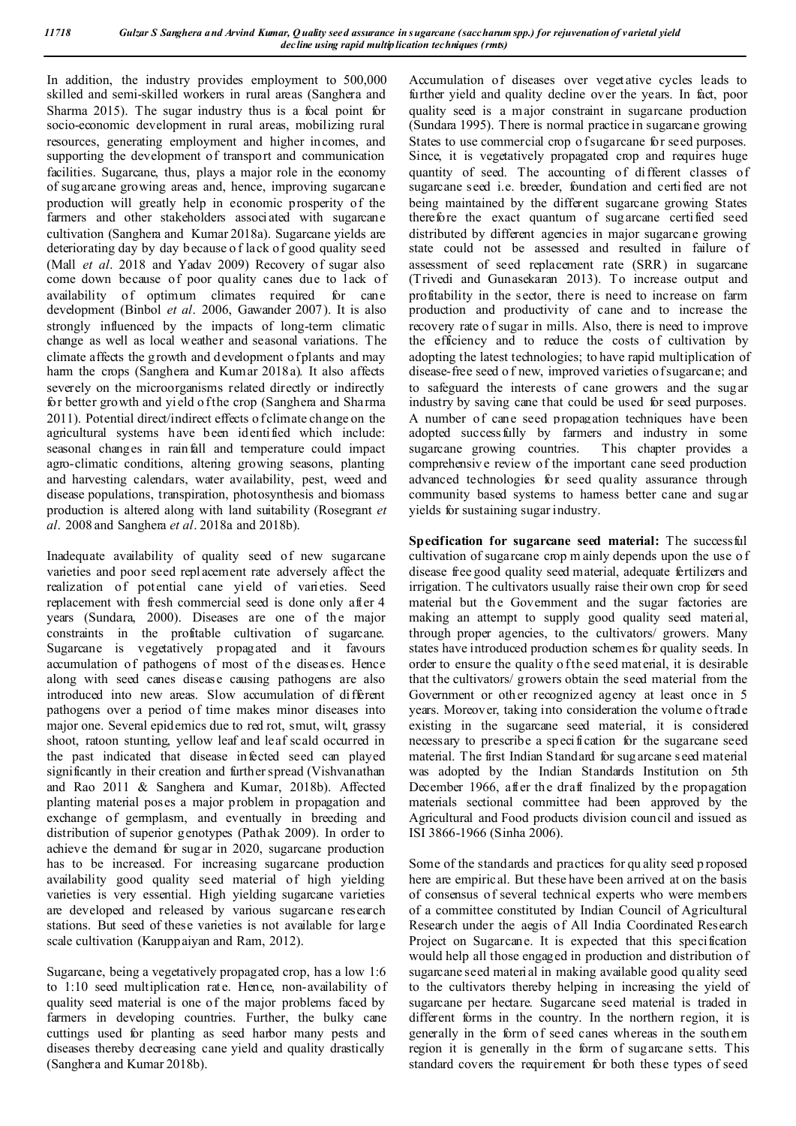In addition, the industry provides employment to 500,000 skilled and semi-skilled workers in rural areas (Sanghera and Sharma 2015). The sugar industry thus is a focal point for socio-economic development in rural areas, mobilizing rural resources, generating employment and higher incomes, and supporting the development of transport and communication facilities. Sugarcane, thus, plays a major role in the economy of sugarcane growing areas and, hence, improving sugarcane production will greatly help in economic prosperity of the farmers and other stakeholders associated with sugarcane cultivation (Sanghera and Kumar 2018a). Sugarcane yields are deteriorating day by day because o f lack of good quality seed (Mall *et al*. 2018 and Yadav 2009) Recovery of sugar also come down because of poor quality canes due to lack of availability of optimum climates required for cane development (Binbol *et al*. 2006, Gawander 2007). It is also strongly influenced by the impacts of long-term climatic change as well as local weather and seasonal variations. The climate affects the g rowth and development of plants and may harm the crops (Sanghera and Kumar 2018a). It also affects severely on the microorganisms related directly or indirectly for better growth and yield o f the crop (Sanghera and Sharma 2011). Potential direct/indirect effects o f climate change on the agricultural systems have been identified which include: seasonal changes in rainfall and temperature could impact agro-climatic conditions, altering growing seasons, planting and harvesting calendars, water availability, pest, weed and disease populations, transpiration, photosynthesis and biomass production is altered along with land suitability (Rosegrant *et al*. 2008 and Sanghera *et al*. 2018a and 2018b).

Inadequate availability of quality seed of new sugarcane varieties and poor seed replacement rate adversely affect the realization of potential cane yield of varieties. Seed replacement with fresh commercial seed is done only after 4 years (Sundara, 2000). Diseases are one of the major constraints in the profitable cultivation of sugarcane. Sugarcane is vegetatively propagated and it favours accumulation of pathogens of most of the diseases. Hence along with seed canes disease causing pathogens are also introduced into new areas. Slow accumulation of different pathogens over a period of time makes minor diseases into major one. Several epidemics due to red rot, smut, wilt, grassy shoot, ratoon stunting, yellow leaf and leaf scald occurred in the past indicated that disease infected seed can played significantly in their creation and further spread (Vishvanathan and Rao 2011 & Sanghera and Kumar, 2018b). Affected planting material poses a major problem in propagation and exchange of germplasm, and eventually in breeding and distribution of superior genotypes (Pathak 2009). In order to achieve the demand for sugar in 2020, sugarcane production has to be increased. For increasing sugarcane production availability good quality seed material of high yielding varieties is very essential. High yielding sugarcane varieties are developed and released by various sugarcane research stations. But seed of these varieties is not available for large scale cultivation (Karuppaiyan and Ram, 2012).

Sugarcane, being a vegetatively propagated crop, has a low 1:6 to 1:10 seed multiplication rate. Hence, non-availability of quality seed material is one of the major problems faced by farmers in developing countries. Further, the bulky cane cuttings used for planting as seed harbor many pests and diseases thereby decreasing cane yield and quality drastically (Sanghera and Kumar 2018b).

Accumulation of diseases over vegetative cycles leads to further yield and quality decline over the years. In fact, poor quality seed is a major constraint in sugarcane production (Sundara 1995). There is normal practice in sugarcane growing States to use commercial crop o f sugarcane for seed purposes. Since, it is vegetatively propagated crop and requires huge quantity of seed. The accounting of different classes of sugarcane seed i.e. breeder, foundation and certi fied are not being maintained by the different sugarcane growing States therefore the exact quantum of sugarcane certified seed distributed by different agencies in major sugarcane growing state could not be assessed and resulted in failure of assessment of seed replacement rate (SRR) in sugarcane (Trivedi and Gunasekaran 2013). To increase output and profitability in the sector, there is need to increase on farm production and productivity of cane and to increase the recovery rate of sugar in mills. Also, there is need to improve the efficiency and to reduce the costs of cultivation by adopting the latest technologies; to have rapid multiplication of disease-free seed o f new, improved varieties of sugarcane; and to safeguard the interests of cane growers and the sugar industry by saving cane that could be used for seed purposes. A number of cane seed propagation techniques have been adopted successfully by farmers and industry in some sugarcane growing countries. This chapter provides a comprehensiv e review of the important cane seed production advanced technologies for seed quality assurance through community based systems to harness better cane and sugar yields for sustaining sugar industry.

**Specification for sugarcane seed material:** The successful cultivation of sugarcane crop m ainly depends upon the use o f disease free good quality seed material, adequate fertilizers and irrigation. T he cultivators usually raise their own crop for seed material but the Government and the sugar factories are making an attempt to supply good quality seed material, through proper agencies, to the cultivators/ growers. Many states have introduced production schemes for quality seeds. In order to ensure the quality o f the seed material, it is desirable that the cultivators/ growers obtain the seed material from the Government or other recognized agency at least once in 5 years. Moreover, taking into consideration the volume of trade existing in the sugarcane seed material, it is considered necessary to prescribe a specification for the sugarcane seed material. The first Indian Standard for sug arcane seed material was adopted by the Indian Standards Institution on 5th December 1966, after the draft finalized by the propagation materials sectional committee had been approved by the Agricultural and Food products division council and issued as ISI 3866-1966 (Sinha 2006).

Some of the standards and practices for qu ality seed p roposed here are empirical. But these have been arrived at on the basis of consensus of several technical experts who were members of a committee constituted by Indian Council of Agricultural Research under the aegis of All India Coordinated Research Project on Sugarcane. It is expected that this specification would help all those engaged in production and distribution of sugarcane seed material in making available good quality seed to the cultivators thereby helping in increasing the yield of sugarcane per hectare. Sugarcane seed material is traded in different forms in the country. In the northern region, it is generally in the form of seed canes whereas in the south ern region it is generally in the form of sugarcane setts. This standard covers the requirement for both these types of seed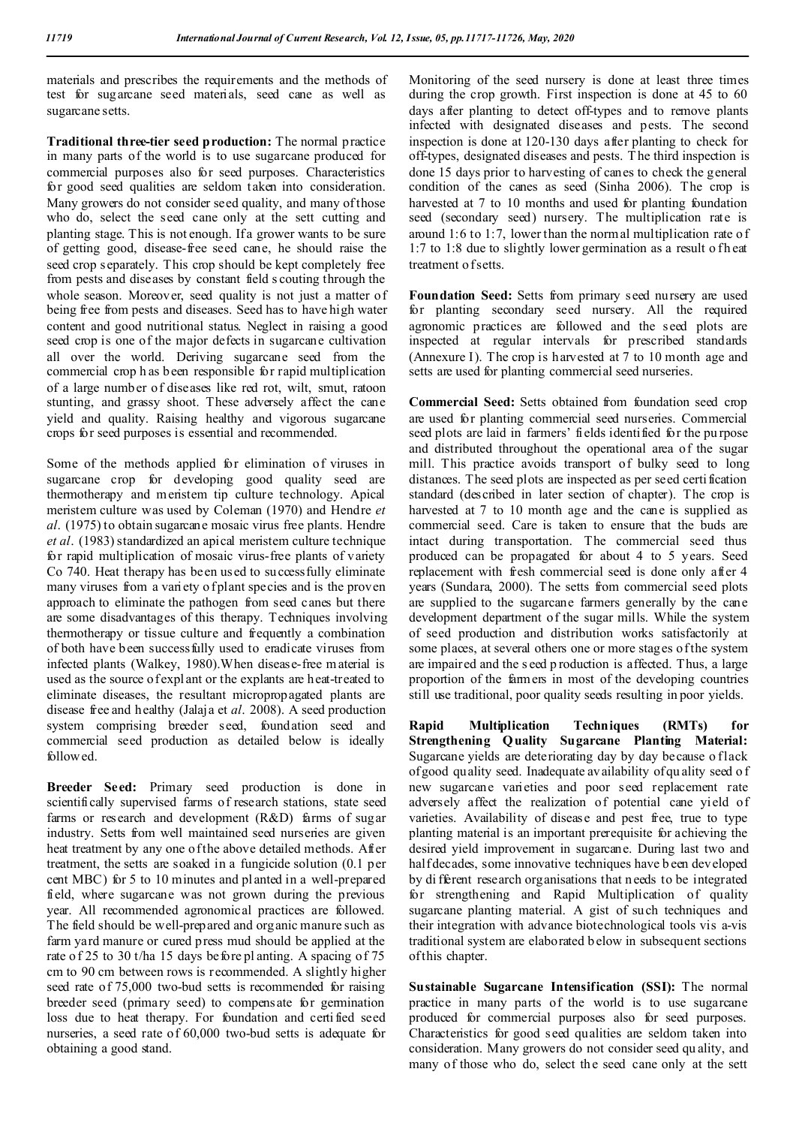materials and prescribes the requirements and the methods of test for sugarcane seed materials, seed cane as well as sugarcane setts.

**Traditional three-tier seed production:** The normal practice in many parts of the world is to use sugarcane produced for commercial purposes also for seed purposes. Characteristics for good seed qualities are seldom taken into consideration. Many growers do not consider seed quality, and many of those who do, select the seed cane only at the sett cutting and planting stage. This is not enough. If a grower wants to be sure of getting good, disease-free seed cane, he should raise the seed crop separately. This crop should be kept completely free from pests and diseases by constant field s couting through the whole season. Moreover, seed quality is not just a matter of being free from pests and diseases. Seed has to have high water content and good nutritional status. Neglect in raising a good seed crop is one of the major defects in sugarcane cultivation all over the world. Deriving sugarcane seed from the commercial crop h as been responsible for rapid multiplication of a large number of diseases like red rot, wilt, smut, ratoon stunting, and grassy shoot. These adversely affect the cane yield and quality. Raising healthy and vigorous sugarcane crops for seed purposes is essential and recommended.

Some of the methods applied for elimination of viruses in sugarcane crop for developing good quality seed are thermotherapy and meristem tip culture technology. Apical meristem culture was used by Coleman (1970) and Hendre *et al*. (1975) to obtain sugarcane mosaic virus free plants. Hendre *et al*. (1983) standardized an apical meristem culture technique for rapid multiplication of mosaic virus-free plants of variety Co 740. Heat therapy has been used to successfully eliminate many viruses from a variety of plant species and is the proven approach to eliminate the pathogen from seed canes but there are some disadvantages of this therapy. Techniques involving thermotherapy or tissue culture and frequently a combination of both have been successfully used to eradicate viruses from infected plants (Walkey, 1980).When disease-free material is used as the source of expl ant or the explants are heat-treated to eliminate diseases, the resultant micropropagated plants are disease free and healthy (Jalaja et *al*. 2008). A seed production system comprising breeder seed, foundation seed and commercial seed production as detailed below is ideally followed.

**Breeder Seed:** Primary seed production is done in scientifically supervised farms of research stations, state seed farms or research and development (R&D) farms of sugar industry. Setts from well maintained seed nurseries are given heat treatment by any one of the above detailed methods. After treatment, the setts are soaked in a fungicide solution (0.1 per cent MBC) for 5 to 10 minutes and pl anted in a well-prepared field, where sugarcane was not grown during the previous year. All recommended agronomical practices are followed. The field should be well-prepared and organic manure such as farm yard manure or cured press mud should be applied at the rate of 25 to 30 t/ha 15 days before pl anting. A spacing of 75 cm to 90 cm between rows is recommended. A slightly higher seed rate of 75,000 two-bud setts is recommended for raising breeder seed (primary seed) to compensate for germination loss due to heat therapy. For foundation and certi fied seed nurseries, a seed rate of 60,000 two-bud setts is adequate for obtaining a good stand.

Monitoring of the seed nursery is done at least three times during the crop growth. First inspection is done at 45 to 60 days after planting to detect off-types and to remove plants infected with designated diseases and pests. The second inspection is done at 120-130 days after planting to check for off-types, designated diseases and pests. T he third inspection is done 15 days prior to harvesting of canes to check the general condition of the canes as seed (Sinha 2006). The crop is harvested at 7 to 10 months and used for planting foundation seed (secondary seed) nursery. The multiplication rate is around 1:6 to 1:7, lower than the normal multiplication rate o f 1:7 to 1:8 due to slightly lower germination as a result of h eat treatment of setts.

**Foundation Seed:** Setts from primary seed nursery are used for planting secondary seed nursery. All the required agronomic practices are followed and the seed plots are inspected at regular intervals for prescribed standards (Annexure I). The crop is harvested at 7 to 10 month age and setts are used for planting commercial seed nurseries.

**Commercial Seed:** Setts obtained from foundation seed crop are used for planting commercial seed nurseries. Commercial seed plots are laid in farmers' fields identified for the pu rpose and distributed throughout the operational area of the sugar mill. This practice avoids transport of bulky seed to long distances. The seed plots are inspected as per seed certi fication standard (described in later section of chapter). The crop is harvested at 7 to 10 month age and the cane is supplied as commercial seed. Care is taken to ensure that the buds are intact during transportation. The commercial seed thus produced can be propagated for about 4 to 5 years. Seed replacement with fresh commercial seed is done only after 4 years (Sundara, 2000). The setts from commercial seed plots are supplied to the sugarcane farmers generally by the cane development department of the sugar mills. While the system of seed production and distribution works satisfactorily at some places, at several others one or more stages of the system are impaired and the s eed p roduction is affected. Thus, a large proportion of the farmers in most of the developing countries still use traditional, poor quality seeds resulting in poor yields.

**Rapid Multiplication Techniques (RMTs) for Strengthening Quality Sugarcane Planting Material:**  Sugarcane yields are deteriorating day by day because o flack of good quality seed. Inadequate availability of qu ality seed o f new sugarcane varieties and poor seed replacement rate adversely affect the realization of potential cane yield of varieties. Availability of disease and pest free, true to type planting material is an important prerequisite for achieving the desired yield improvement in sugarcane. During last two and half decades, some innovative techniques have b een developed by di fferent research organisations that n eeds to be integrated for strengthening and Rapid Multiplication of quality sugarcane planting material. A gist of such techniques and their integration with advance biotechnological tools vis a-vis traditional system are elaborated b elow in subsequent sections of this chapter.

**Sustainable Sugarcane Intensification (SSI):** The normal practice in many parts of the world is to use sugarcane produced for commercial purposes also for seed purposes. Characteristics for good seed qualities are seldom taken into consideration. Many growers do not consider seed qu ality, and many of those who do, select the seed cane only at the sett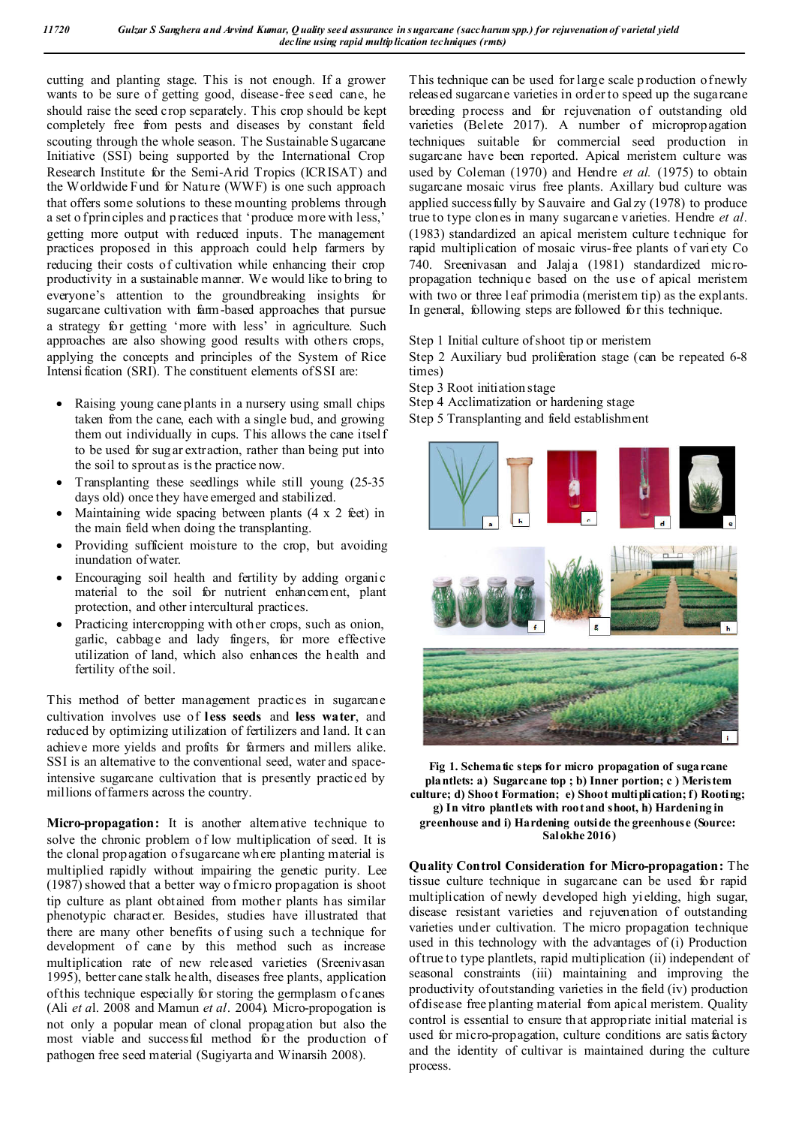cutting and planting stage. This is not enough. If a grower wants to be sure of getting good, disease-free seed cane, he should raise the seed crop separately. This crop should be kept completely free from pests and diseases by constant field scouting through the whole season. The Sustainable Sugarcane Initiative (SSI) being supported by the International Crop Research Institute for the Semi-Arid Tropics (ICRISAT) and the Worldwide Fund for Nature (WWF) is one such approach that offers some solutions to these mounting problems through a set o f prin ciples and practices that 'produce more with less,' getting more output with reduced inputs. The management practices proposed in this approach could help farmers by reducing their costs of cultivation while enhancing their crop productivity in a sustainable manner. We would like to bring to everyone's attention to the groundbreaking insights for sugarcane cultivation with farm-based approaches that pursue a strategy for getting 'more with less' in agriculture. Such approaches are also showing good results with others crops, applying the concepts and principles of the System of Rice Intensi fication (SRI). The constituent elements of SSI are:

- Raising young cane plants in a nursery using small chips taken from the cane, each with a single bud, and growing them out individually in cups. This allows the cane itself to be used for sug ar extraction, rather than being put into the soil to sprout as is the practice now.
- Transplanting these seedlings while still young (25-35 days old) once they have emerged and stabilized.
- Maintaining wide spacing between plants  $(4 \times 2 \text{ feet})$  in the main field when doing the transplanting.
- Providing sufficient moisture to the crop, but avoiding inundation of water.
- Encouraging soil health and fertility by adding organic material to the soil for nutrient enhancement, plant protection, and other intercultural practices.
- Practicing intercropping with other crops, such as onion, garlic, cabbage and lady fingers, for more effective utilization of land, which also enhances the health and fertility of the soil.

This method of better management practices in sugarcane cultivation involves use of **less seeds** and **less water**, and reduced by optimizing utilization of fertilizers and land. It can achieve more yields and profits for farmers and millers alike. SSI is an alternative to the conventional seed, water and spaceintensive sugarcane cultivation that is presently practiced by millions of farmers across the country.

Micro-propagation: It is another alternative technique to solve the chronic problem of low multiplication of seed. It is the clonal propagation of sugarcane wh ere planting material is multiplied rapidly without impairing the genetic purity. Lee (1987) showed that a better way o f micro propagation is shoot tip culture as plant obtained from mother plants has similar phenotypic character. Besides, studies have illustrated that there are many other benefits of using such a technique for development of cane by this method such as increase multiplication rate of new released varieties (Sreenivasan 1995), better cane stalk health, diseases free plants, application of this technique especially for storing the germplasm of canes (Ali *et a*l. 2008 and Mamun *et al*. 2004). Micro-propogation is not only a popular mean of clonal propagation but also the most viable and successful method for the production of pathogen free seed material (Sugiyarta and Winarsih 2008).

This technique can be used for large scale p roduction of newly released sugarcane varieties in order to speed up the sugarcane breeding process and for rejuvenation of outstanding old varieties (Belete 2017). A number of micropropagation techniques suitable for commercial seed production in sugarcane have been reported. Apical meristem culture was used by Coleman (1970) and Hendre *et al.* (1975) to obtain sugarcane mosaic virus free plants. Axillary bud culture was applied successfully by Sauvaire and Galzy (1978) to produce true to type clon es in many sugarcane varieties. Hendre *et al.*  (1983) standardized an apical meristem culture technique for rapid multiplication of mosaic virus-free plants of variety Co 740. Sreenivasan and Jalaja (1981) standardized micropropagation technique based on the use of apical meristem with two or three leaf primodia (meristem tip) as the explants. In general, following steps are followed for this technique.

Step 1 Initial culture of shoot tip or meristem

Step 2 Auxiliary bud proliferation stage (can be repeated 6-8 times)

- Step 3 Root initiation stage
- Step 4 Acclimatization or hardening stage
- Step 5 Transplanting and field establishment



**Fig 1. Schematic steps for micro propagation of sugarcane plantlets: a) Sugarcane top ; b) Inner portion; c ) Meristem culture; d) Shoot Formation; e) Shoot multiplication; f) Rooting; g) In vitro plantlets with root and shoot, h) Hardening in greenhouse and i) Hardening outside the greenhouse (Source: Salokhe 2016)**

**Quality Control Consideration for Micro-propagation:** The tissue culture technique in sugarcane can be used for rapid multiplication of newly developed high yielding, high sugar, disease resistant varieties and rejuvenation of outstanding varieties under cultivation. The micro propagation technique used in this technology with the advantages of (i) Production of true to type plantlets, rapid multiplication (ii) independent of seasonal constraints (iii) maintaining and improving the productivity of outstanding varieties in the field (iv) production of disease free planting material from apical meristem. Quality control is essential to ensure th at appropriate initial material is used for micro-propagation, culture conditions are satis factory and the identity of cultivar is maintained during the culture process.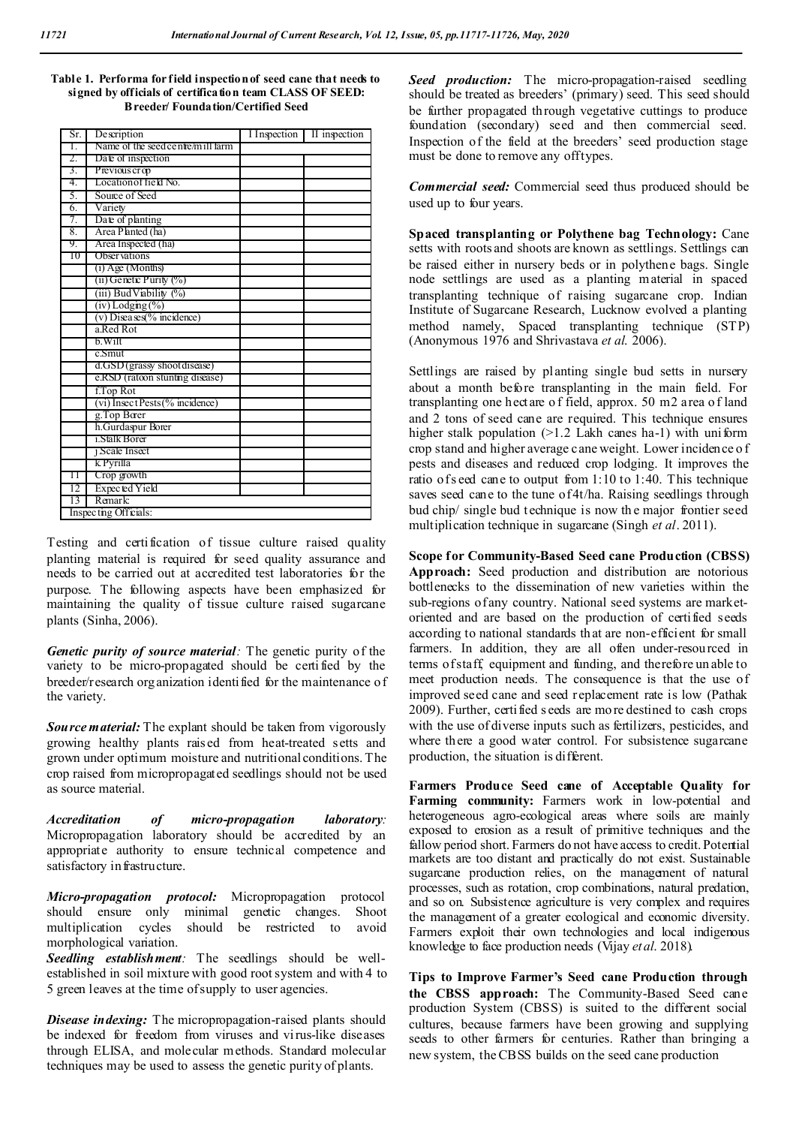| Table 1. Performa for field inspection of seed cane that needs to |
|-------------------------------------------------------------------|
| signed by officials of certification team CLASS OF SEED:          |
| <b>B</b> reeder/ Foundation/Certified Seed                        |

| Sr. | Description                       | I Inspection | II inspection |  |  |  |
|-----|-----------------------------------|--------------|---------------|--|--|--|
| Τ.  | Name of the seed centre/mill farm |              |               |  |  |  |
| 2.  | Date of inspection                |              |               |  |  |  |
| 3.  | Previous crop                     |              |               |  |  |  |
| 4.  | Location of field No.             |              |               |  |  |  |
| 5.  | Source of Seed                    |              |               |  |  |  |
| 6.  | Variety                           |              |               |  |  |  |
| 7.  | Date of planting                  |              |               |  |  |  |
| 8.  | Area Planted (ha)                 |              |               |  |  |  |
| 9.  | Area Inspected (ha)               |              |               |  |  |  |
| 10  | <b>Observations</b>               |              |               |  |  |  |
|     | $(i)$ Age (Months)                |              |               |  |  |  |
|     | (ii) Genetic Purity (%)           |              |               |  |  |  |
|     | (iii) Bud Viability (%)           |              |               |  |  |  |
|     | $(iv)$ Lodging $(\%)$             |              |               |  |  |  |
|     | $(v)$ Diseases(% incidence)       |              |               |  |  |  |
|     | a.Red Rot                         |              |               |  |  |  |
|     | b. Wilt                           |              |               |  |  |  |
|     | c.Smut                            |              |               |  |  |  |
|     | d.GSD (grassy shoot disease)      |              |               |  |  |  |
|     | e.RSD (ratoon stunting disease)   |              |               |  |  |  |
|     | f.Top Rot                         |              |               |  |  |  |
|     | (vi) InsectPests (% incidence)    |              |               |  |  |  |
|     | g.Top Borer                       |              |               |  |  |  |
|     | h.Gurdaspur Borer                 |              |               |  |  |  |
|     | 1.Stalk Borer                     |              |               |  |  |  |
|     | 1 Scale Insect                    |              |               |  |  |  |
|     | k Pyrılla                         |              |               |  |  |  |
| Π   | Crop growth                       |              |               |  |  |  |
| 12  | Expected Yield                    |              |               |  |  |  |
| 13  | Remark:                           |              |               |  |  |  |
|     | Inspecting Officials:             |              |               |  |  |  |

Testing and certification of tissue culture raised quality planting material is required for seed quality assurance and needs to be carried out at accredited test laboratories for the purpose. The following aspects have been emphasized for maintaining the quality of tissue culture raised sugarcane plants (Sinha, 2006).

*Genetic purity of source material:* The genetic purity of the variety to be micro-propagated should be certi fied by the breeder/research organization identified for the maintenance of the variety.

*Source material:* The explant should be taken from vigorously growing healthy plants rais ed from heat-treated setts and grown under optimum moisture and nutritional conditions. The crop raised from micropropagated seedlings should not be used as source material.

*Accreditation of micro-propagation laboratory:*  Micropropagation laboratory should be accredited by an appropriate authority to ensure technical competence and satisfactory in frastructure.

*Micro-propagation protocol:* Micropropagation protocol should ensure only minimal genetic changes. Shoot multiplication cycles should be restricted to avoid morphological variation.

*Seedling establishment:* The seedlings should be wellestablished in soil mixture with good root system and with 4 to 5 green leaves at the time of supply to user agencies.

*Disease indexing:* The micropropagation-raised plants should be indexed for freedom from viruses and virus-like diseases through ELISA, and molecular methods. Standard molecular techniques may be used to assess the genetic purity of plants.

*Seed production:* The micro-propagation-raised seedling should be treated as breeders' (primary) seed. This seed should be further propagated through vegetative cuttings to produce foundation (secondary) seed and then commercial seed. Inspection of the field at the breeders' seed production stage must be done to remove any off types.

*Commercial seed:* Commercial seed thus produced should be used up to four years.

**Spaced transplanting or Polythene bag Technology:** Cane setts with roots and shoots are known as settlings. Settlings can be raised either in nursery beds or in polythene bags. Single node settlings are used as a planting material in spaced transplanting technique of raising sugarcane crop. Indian Institute of Sugarcane Research, Lucknow evolved a planting method namely, Spaced transplanting technique (STP) (Anonymous 1976 and Shrivastava *et al*. 2006).

Settlings are raised by planting single bud setts in nursery about a month before transplanting in the main field. For transplanting one hectare o f field, approx. 50 m2 area o f land and 2 tons of seed cane are required. This technique ensures higher stalk population  $(>1.2$  Lakh canes ha-1) with uniform crop stand and higher average cane weight. Lower incidence o f pests and diseases and reduced crop lodging. It improves the ratio of s eed cane to output from 1:10 to 1:40. This technique saves seed cane to the tune of 4t/ha. Raising seedlings through bud chip/ single bud technique is now th e major frontier seed multiplication technique in sugarcane (Singh *et al*. 2011).

**Scope for Community-Based Seed cane Production (CBSS) Approach:** Seed production and distribution are notorious bottlenecks to the dissemination of new varieties within the sub-regions of any country. National seed systems are marketoriented and are based on the production of certified seeds according to national standards that are non-efficient for small farmers. In addition, they are all often under-resourced in terms of staff, equipment and funding, and therefore un able to meet production needs. The consequence is that the use of improved seed cane and seed replacement rate is low (Pathak 2009). Further, certified s eeds are mo re destined to cash crops with the use of diverse inputs such as fertilizers, pesticides, and where there a good water control. For subsistence sugarcane production, the situation is different.

**Farmers Produce Seed cane of Acceptable Quality for Farming community:** Farmers work in low-potential and heterogeneous agro-ecological areas where soils are mainly exposed to erosion as a result of primitive techniques and the fallow period short. Farmers do not have access to credit. Potential markets are too distant and practically do not exist. Sustainable sugarcane production relies, on the management of natural processes, such as rotation, crop combinations, natural predation, and so on. Subsistence agriculture is very complex and requires the management of a greater ecological and economic diversity. Farmers exploit their own technologies and local indigenous knowledge to face production needs (Vijay *et al*. 2018).

**Tips to Improve Farmer's Seed cane Production through the CBSS approach:** The Community-Based Seed cane production System (CBSS) is suited to the different social cultures, because farmers have been growing and supplying seeds to other farmers for centuries. Rather than bringing a new system, the CBSS builds on the seed cane production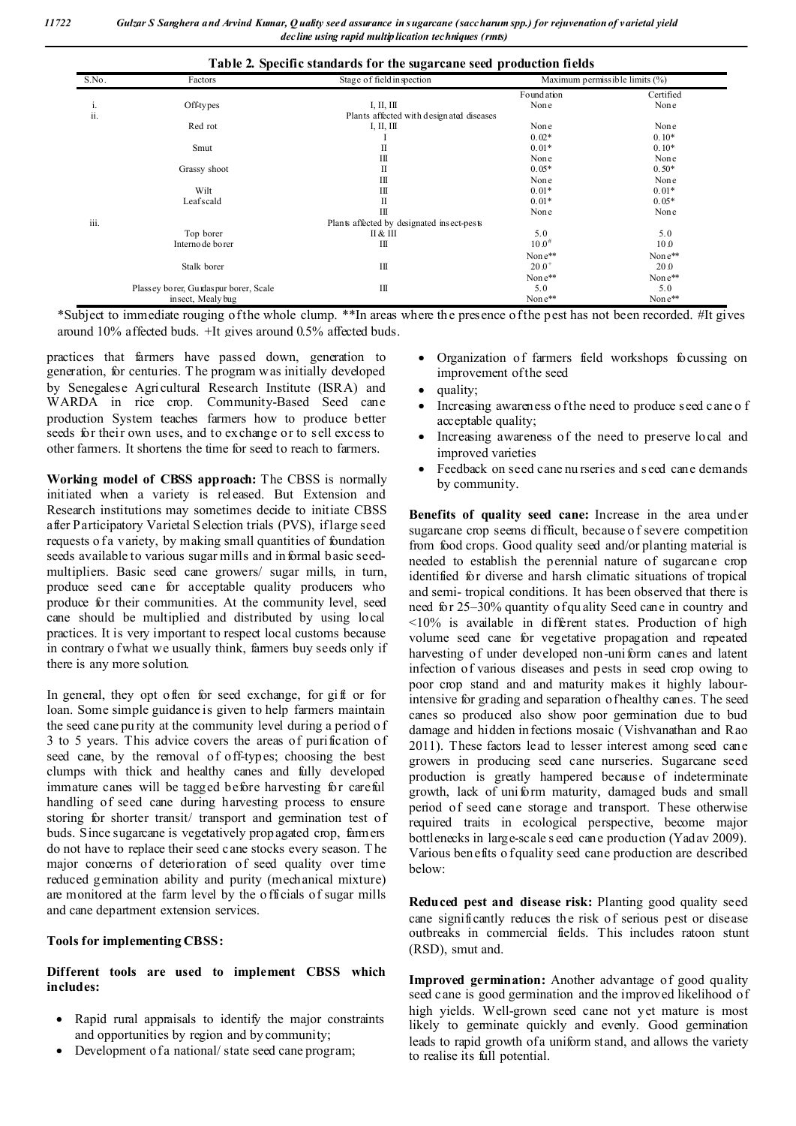| S.No. | Factors                                    | Stage of field in spection | Maximum permissible limits (%) |              |  |
|-------|--------------------------------------------|----------------------------|--------------------------------|--------------|--|
|       |                                            |                            | Found ation                    | Certified    |  |
| 1.    | <b>Off-types</b>                           | I, II, III                 | None                           | None         |  |
| ii.   | Plants affected with designated diseases   |                            |                                |              |  |
|       | Red rot                                    | I, II, III                 | None                           | None         |  |
|       |                                            |                            | $0.02*$                        | $0.10*$      |  |
|       | Smut                                       | П                          | $0.01*$                        | $0.10*$      |  |
|       |                                            | Ш                          | None                           | None         |  |
|       | Grassy shoot                               | $_{\rm II}$                | $0.05*$                        | $0.50*$      |  |
|       |                                            | Ш                          | None                           | None         |  |
|       | Wilt                                       | Ш                          | $0.01*$                        | $0.01*$      |  |
|       | Leafscald                                  | $_{\rm II}$                | $0.01*$                        | $0.05*$      |  |
|       |                                            | $\mathbf{I}$               | None                           | None         |  |
| iii.  | Plants affected by designated insect-pests |                            |                                |              |  |
|       | Top borer                                  | П&Ш                        | 5.0                            | 5.0          |  |
|       | Interno de borer                           | Ш                          | $10.0^{#}$                     | 10.0         |  |
|       |                                            |                            | None**                         | None**       |  |
|       | Stalk borer                                | $\mathbf{I}$               | $20.0^{+}$                     | 20.0         |  |
|       |                                            |                            | None**                         | None**       |  |
|       | Plassey borer, Gurdaspur borer, Scale      | Ш                          | 5.0                            | 5.0          |  |
|       | insect, Mealy bug                          |                            | None**                         | Non $e^{**}$ |  |

\*Subject to immediate rouging of the whole clump. \*\*In areas where th e presence of the pest has not been recorded. #It gives around 10% affected buds. +It gives around 0.5% affected buds.

practices that farmers have passed down, generation to generation, for centuries. T he program was initially developed by Senegalese Agricultural Research Institute (ISRA) and WARDA in rice crop. Community-Based Seed cane production System teaches farmers how to produce better seeds for their own uses, and to exchange or to sell excess to other farmers. It shortens the time for seed to reach to farmers.

**Working model of CBSS approach:** The CBSS is normally initiated when a variety is released. But Extension and Research institutions may sometimes decide to initiate CBSS after Participatory Varietal Selection trials (PVS), if large seed requests o fa variety, by making small quantities of foundation seeds available to various sugar mills and in formal basic seedmultipliers. Basic seed cane growers/ sugar mills, in turn, produce seed cane for acceptable quality producers who produce for their communities. At the community level, seed cane should be multiplied and distributed by using local practices. It is very important to respect local customs because in contrary o f what we usually think, farmers buy seeds only if there is any more solution.

In general, they opt often for seed exchange, for gift or for loan. Some simple guidance is given to help farmers maintain the seed cane pu rity at the community level during a period o f 3 to 5 years. This advice covers the areas of purification of seed cane, by the removal of off-types; choosing the best clumps with thick and healthy canes and fully developed immature canes will be tagged before harvesting for careful handling of seed cane during harvesting process to ensure storing for shorter transit/ transport and germination test of buds. Since sugarcane is vegetatively propagated crop, farmers do not have to replace their seed cane stocks every season. T he major concerns of deterioration of seed quality over time reduced germination ability and purity (mechanical mixture) are monitored at the farm level by the o fficials of sugar mills and cane department extension services.

#### **Tools for implementing CBSS:**

#### **Different tools are used to implement CBSS which includes:**

- Rapid rural appraisals to identify the major constraints and opportunities by region and by community;
- Development of a national/ state seed cane program;
- Organization of farmers field workshops focussing on improvement of the seed
- quality;
- Increasing awareness of the need to produce seed cane of acceptable quality;
- Increasing awareness of the need to preserve local and improved varieties
- Feedback on seed cane nu rseries and s eed cane demands by community.

**Benefits of quality seed cane:** Increase in the area under sugarcane crop seems difficult, because o f severe competition from food crops. Good quality seed and/or planting material is needed to establish the perennial nature of sugarcane crop identified for diverse and harsh climatic situations of tropical and semi- tropical conditions. It has been observed that there is need for 25–30% quantity of qu ality Seed cane in country and <10% is available in different states. Production of high volume seed cane for vegetative propagation and repeated harvesting of under developed non-uniform canes and latent infection of various diseases and pests in seed crop owing to poor crop stand and and maturity makes it highly labourintensive for grading and separation of healthy canes. The seed canes so produced also show poor germination due to bud damage and hidden in fections mosaic (Vishvanathan and Rao 2011). These factors lead to lesser interest among seed cane growers in producing seed cane nurseries. Sugarcane seed production is greatly hampered because of indeterminate growth, lack of uniform maturity, damaged buds and small period of seed cane storage and transport. These otherwise required traits in ecological perspective, become major bottlenecks in large-scale s eed cane production (Yadav 2009). Various benefits o f quality seed cane production are described below:

**Reduced pest and disease risk:** Planting good quality seed cane significantly reduces the risk of serious pest or disease outbreaks in commercial fields. This includes ratoon stunt (RSD), smut and.

**Improved germination:** Another advantage of good quality seed cane is good germination and the improved likelihood of high yields. Well-grown seed cane not yet mature is most likely to germinate quickly and evenly. Good germination leads to rapid growth of a uniform stand, and allows the variety to realise its full potential.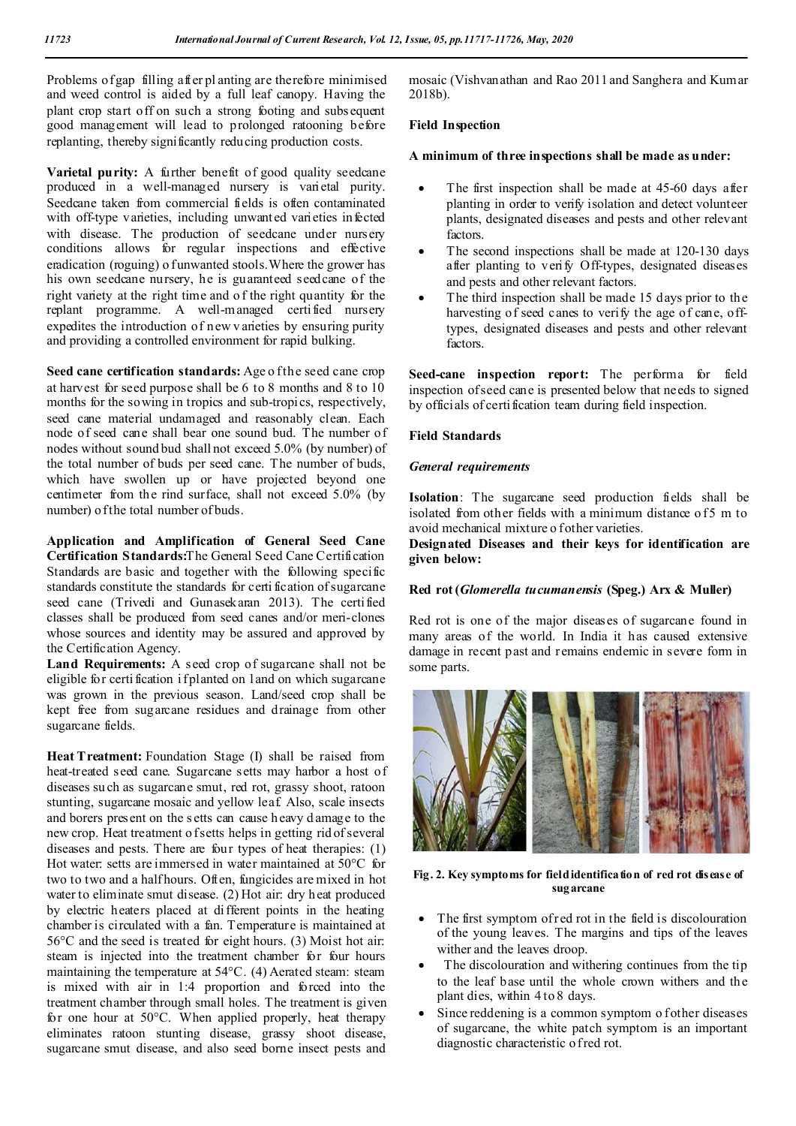Problems of gap filling after pl anting are therefore minimised and weed control is aided by a full leaf canopy. Having the plant crop start off on such a strong footing and subsequent good management will lead to prolonged ratooning before replanting, thereby significantly reducing production costs.

**Varietal purity:** A further benefit of good quality seedcane produced in a well-managed nursery is varietal purity. Seedcane taken from commercial fields is often contaminated with off-type varieties, including unwanted varieties infected with disease. The production of seedcane under nursery conditions allows for regular inspections and effective eradication (roguing) o funwanted stools. Where the grower has his own seedcane nursery, he is guaranteed seedcane of the right variety at the right time and o f the right quantity for the replant programme. A well-managed certified nursery expedites the introduction of new v arieties by ensuring purity and providing a controlled environment for rapid bulking.

Seed cane certification standards: Age of the seed cane crop at harvest for seed purpose shall be 6 to 8 months and 8 to 10 months for the sowing in tropics and sub-tropics, respectively, seed cane material undamaged and reasonably clean. Each node of seed cane shall bear one sound bud. The number of nodes without sound bud shall not exceed 5.0% (by number) of the total number of buds per seed cane. The number of buds, which have swollen up or have projected beyond one centimeter from the rind surface, shall not exceed 5.0% (by number) of the total number of buds.

**Application and Amplification of General Seed Cane Certification Standards:**The General Seed Cane Certification Standards are basic and together with the following specific standards constitute the standards for certi fication of sugarcane seed cane (Trivedi and Gunasekaran 2013). The certified classes shall be produced from seed canes and/or meri-clones whose sources and identity may be assured and approved by the Certification Agency.

**Land Requirements:** A seed crop of sugarcane shall not be eligible for certi fication if planted on land on which sugarcane was grown in the previous season. Land/seed crop shall be kept free from sugarcane residues and drainage from other sugarcane fields.

**Heat Treatment:** Foundation Stage (I) shall be raised from heat-treated seed cane. Sugarcane setts may harbor a host of diseases su ch as sugarcane smut, red rot, grassy shoot, ratoon stunting, sugarcane mosaic and yellow leaf. Also, scale insects and borers present on the s etts can cause heavy d amage to the new crop. Heat treatment o f setts helps in getting rid of several diseases and pests. There are four types of heat therapies: (1) Hot water: setts are immersed in water maintained at 50°C for two to two and a half hours. Often, fungicides are mixed in hot water to eliminate smut disease. (2) Hot air: dry heat produced by electric heaters placed at different points in the heating chamber is circulated with a fan. Temperature is maintained at 56°C and the seed is treated for eight hours. (3) Moist hot air: steam is injected into the treatment chamber for four hours maintaining the temperature at 54°C. (4) Aerated steam: steam is mixed with air in 1:4 proportion and forced into the treatment chamber through small holes. The treatment is given for one hour at 50°C. When applied properly, heat therapy eliminates ratoon stunting disease, grassy shoot disease, sugarcane smut disease, and also seed borne insect pests and

mosaic (Vishvanathan and Rao 2011 and Sanghera and Kumar 2018b).

#### **Field Inspection**

#### **A minimum of three inspections shall be made as under:**

- The first inspection shall be made at 45-60 days after planting in order to verify isolation and detect volunteer plants, designated diseases and pests and other relevant factors.
- The second inspections shall be made at 120-130 days after planting to verify Off-types, designated diseases and pests and other relevant factors.
- The third inspection shall be made 15 days prior to the harvesting of seed canes to verify the age of cane, offtypes, designated diseases and pests and other relevant factors.

Seed-cane inspection report: The performa for field inspection of seed cane is presented below that needs to signed by officials of certification team during field inspection.

#### **Field Standards**

#### *General requirements*

**Isolation**: The sugarcane seed production fields shall be isolated from other fields with a minimum distance of 5 m to avoid mechanical mixture o fother varieties.

**Designated Diseases and their keys for identification are given below:**

#### **Red rot (***Glomerella tucumanensis* **(Speg.) Arx & Muller)**

Red rot is one of the major diseases of sugarcane found in many areas of the world. In India it has caused extensive damage in recent past and remains endemic in severe form in some parts.



#### **Fig. 2. Key symptoms for field identification of red rot disease of sugarcane**

- The first symptom of red rot in the field is discolouration of the young leaves. The margins and tips of the leaves wither and the leaves droop.
- The discolouration and withering continues from the tip to the leaf base until the whole crown withers and the plant dies, within 4 to 8 days.
- Since reddening is a common symptom o fother diseases of sugarcane, the white patch symptom is an important diagnostic characteristic o f red rot.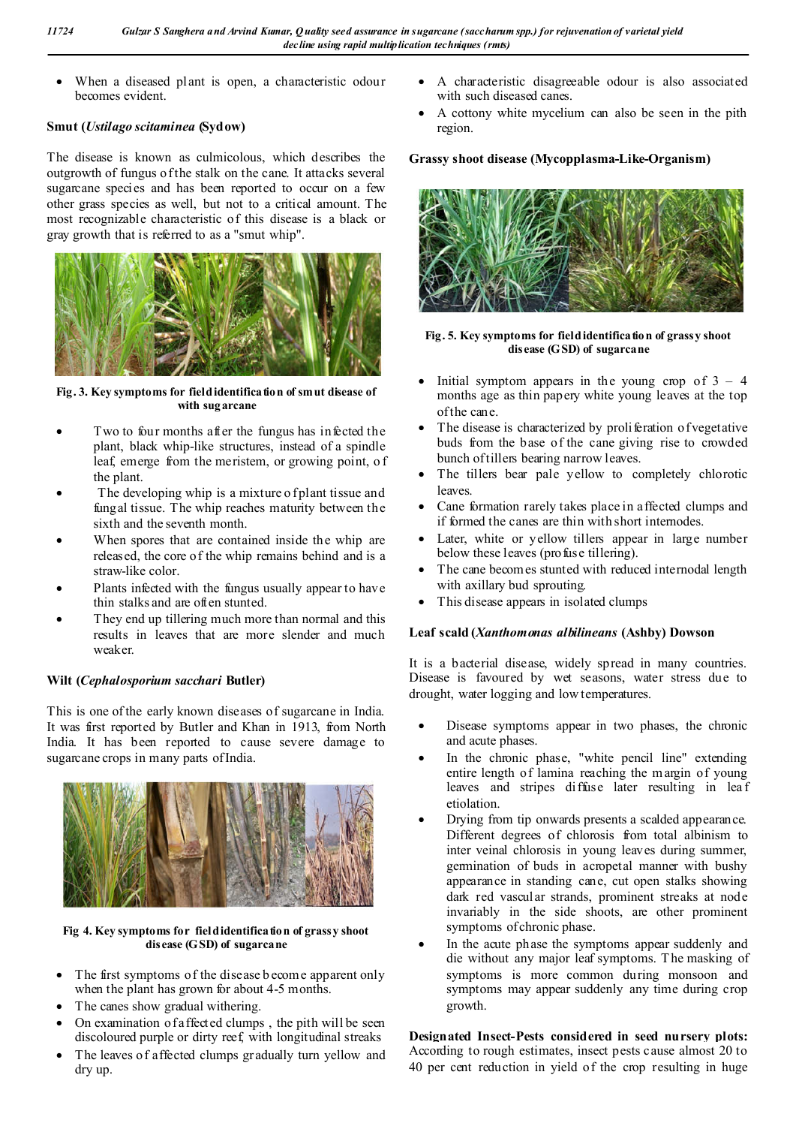When a diseased plant is open, a characteristic odour becomes evident.

## **Smut (***Ustilago scitaminea* **(Sydow)**

The disease is known as culmicolous, which describes the outgrowth of fungus o f the stalk on the cane. It attacks several sugarcane species and has been reported to occur on a few other grass species as well, but not to a critical amount. The most recognizable characteristic of this disease is a black or gray growth that is referred to as a "smut whip".



Fig. 3. Key symptoms for field identification of smut disease of **with sugarcane**

- Two to four months after the fungus has infected the plant, black whip-like structures, instead of a spindle leaf, emerge from the meristem, or growing point, of the plant.
- The developing whip is a mixture o fplant tissue and fungal tissue. The whip reaches maturity between the sixth and the seventh month.
- When spores that are contained inside the whip are released, the core of the whip remains behind and is a straw-like color.
- Plants infected with the fungus usually appear to have thin stalks and are often stunted.
- They end up tillering much more than normal and this results in leaves that are more slender and much weaker.

## **Wilt (***Cephalosporium sacchari* **Butler)**

This is one of the early known diseases of sugarcane in India. It was first reported by Butler and Khan in 1913, from North India. It has been reported to cause severe damage to sugarcane crops in many parts of India.



**Fig 4. Key symptoms for field identification of grassy shoot disease (GSD) of sugarcane**

- The first symptoms of the disease b ecome apparent only when the plant has grown for about 4-5 months.
- The canes show gradual withering.
- On examination of affected clumps , the pith will be seen discoloured purple or dirty reef, with longitudinal streaks
- The leaves of affected clumps gradually turn yellow and dry up.
- A characteristic disagreeable odour is also associated with such diseased canes.
- A cottony white mycelium can also be seen in the pith region.

## **Grassy shoot disease (Mycopplasma-Like-Organism)**



#### **Fig. 5. Key symptoms for field identification of grassy shoot disease (GSD) of sugarcane**

- Initial symptom appears in the young crop of  $3 4$ months age as thin papery white young leaves at the top of the cane.
- The disease is characterized by proliferation of vegetative buds from the base of the cane giving rise to crowded bunch of tillers bearing narrow leaves.
- The tillers bear pale yellow to completely chlorotic leaves.
- Cane formation rarely takes place in affected clumps and if formed the canes are thin with short internodes.
- Later, white or yellow tillers appear in large number below these leaves (profuse tillering).
- The cane becomes stunted with reduced internodal length with axillary bud sprouting.
- This disease appears in isolated clumps

## **Leaf scald (***Xanthomonas albilineans* **(Ashby) Dowson**

It is a bacterial disease, widely spread in many countries. Disease is favoured by wet seasons, water stress due to drought, water logging and low temperatures.

- Disease symptoms appear in two phases, the chronic and acute phases.
- In the chronic phase, "white pencil line" extending entire length of lamina reaching the margin of young leaves and stripes diffuse later resulting in lea f etiolation.
- Drying from tip onwards presents a scalded appearance. Different degrees of chlorosis from total albinism to inter veinal chlorosis in young leaves during summer, germination of buds in acropetal manner with bushy appearance in standing cane, cut open stalks showing dark red vascular strands, prominent streaks at node invariably in the side shoots, are other prominent symptoms of chronic phase.
- In the acute phase the symptoms appear suddenly and die without any major leaf symptoms. T he masking of symptoms is more common during monsoon and symptoms may appear suddenly any time during crop growth.

#### **Designated Insect-Pests considered in seed nursery plots:**  According to rough estimates, insect pests cause almost 20 to 40 per cent reduction in yield of the crop resulting in huge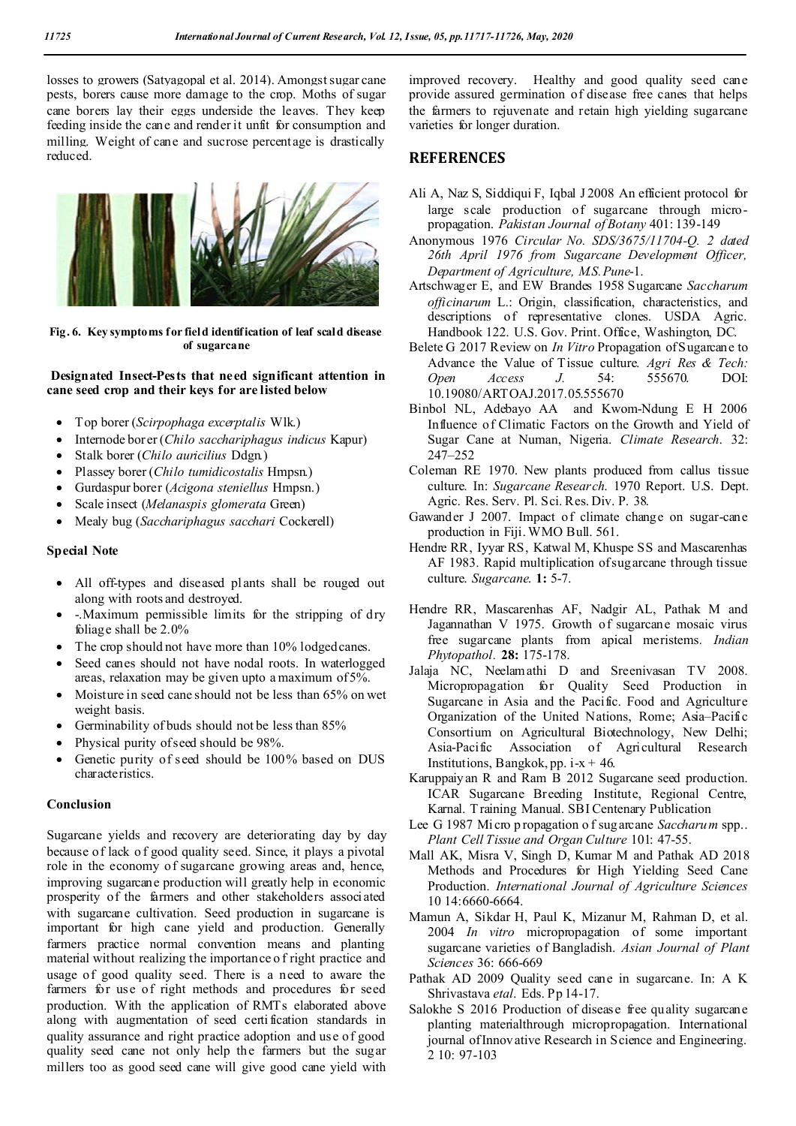losses to growers (Satyagopal et al. 2014). Amongst sugar cane pests, borers cause more damage to the crop. Moths of sugar cane borers lay their eggs underside the leaves. They keep feeding inside the cane and render it unfit for consumption and milling. Weight of cane and sucrose percentage is drastically reduced.



**Fig. 6. Key symptoms for field identification of leaf scald disease of sugarcane**

#### **Designated Insect-Pests that need significant attention in cane seed crop and their keys for are listed below**

- Top borer (*Scirpophaga excerptalis* Wlk.)
- Internode borer (*Chilo sacchariphagus indicus* Kapur)
- Stalk borer (*Chilo auricilius* Ddgn.)
- Plassey borer (*Chilo tumidicostalis* Hmpsn.)
- Gurdaspur borer (*Acigona steniellus* Hmpsn.)
- Scale insect (*Melanaspis glomerata* Green)
- Mealy bug (*Sacchariphagus sacchari* Cockerell)

#### **Special Note**

- All off-types and diseased plants shall be rouged out along with roots and destroyed.
- -.Maximum permissible limits for the stripping of dry foliage shall be 2.0%
- The crop should not have more than 10% lodged canes.
- Seed canes should not have nodal roots. In waterlogged areas, relaxation may be given upto a maximum of 5%.
- Moisture in seed cane should not be less than 65% on wet weight basis.
- Germinability of buds should not be less than 85%
- Physical purity of seed should be 98%.
- Genetic purity of seed should be 100% based on DUS characteristics.

#### **Conclusion**

Sugarcane yields and recovery are deteriorating day by day because of lack o f good quality seed. Since, it plays a pivotal role in the economy of sugarcane growing areas and, hence, improving sugarcane production will greatly help in economic prosperity of the farmers and other stakeholders associated with sugarcane cultivation. Seed production in sugarcane is important for high cane yield and production. Generally farmers practice normal convention means and planting material without realizing the importance o f right practice and usage of good quality seed. There is a need to aware the farmers for use of right methods and procedures for seed production. With the application of RMTs elaborated above along with augmentation of seed certi fication standards in quality assurance and right practice adoption and use of good quality seed cane not only help the farmers but the sugar millers too as good seed cane will give good cane yield with

improved recovery. Healthy and good quality seed cane provide assured germination of disease free canes that helps the farmers to rejuvenate and retain high yielding sugarcane varieties for longer duration.

## **REFERENCES**

- Ali A, Naz S, Siddiqui F, Iqbal J 2008 An efficient protocol for large scale production of sugarcane through micropropagation. *Pakistan Journal of Botany* 401: 139-149
- Anonymous 1976 *Circular No. SDS/3675/11704-Q. 2 dated 26th April 1976 from Sugarcane Development Officer, Department of Agriculture, M.S.Pune*-1.
- Artschwager E, and EW Brandes 1958 Sugarcane *Saccharum officinarum* L.: Origin, classification, characteristics, and descriptions of representative clones. USDA Agric. Handbook 122. U.S. Gov. Print. Office, Washington, DC.
- Belete G 2017 Review on *In Vitro* Propagation of Sugarcane to Advance the Value of Tissue culture. *Agri Res & Tech: Open Access J.* 54: 555670. DOI: 10.19080/ARTOAJ.2017.05.555670
- Binbol NL, Adebayo AA and Kwom-Ndung E H 2006 Influence of Climatic Factors on the Growth and Yield of Sugar Cane at Numan, Nigeria. *Climate Research*. 32: 247–252
- Coleman RE 1970. New plants produced from callus tissue culture. In: *Sugarcane Research*. 1970 Report. U.S. Dept. Agric. Res. Serv. Pl. Sci. Res. Div. P. 38.
- Gawander J 2007. Impact of climate change on sugar-cane production in Fiji. WMO Bull. 561.
- Hendre RR, Iyyar RS, Katwal M, Khuspe SS and Mascarenhas AF 1983. Rapid multiplication of sugarcane through tissue culture. *Sugarcane*. **1:** 5-7.
- Hendre RR, Mascarenhas AF, Nadgir AL, Pathak M and Jagannathan V 1975. Growth of sugarcane mosaic virus free sugarcane plants from apical meristems. *Indian Phytopathol.* **28:** 175-178.
- Jalaja NC, Neelamathi D and Sreenivasan TV 2008. Micropropagation for Quality Seed Production in Sugarcane in Asia and the Pacific. Food and Agriculture Organization of the United Nations, Rome; Asia–Pacific Consortium on Agricultural Biotechnology, New Delhi; Asia-Pacific Association of Agricultural Research Institutions, Bangkok, pp.  $i-x + 46$ .
- Karuppaiyan R and Ram B 2012 Sugarcane seed production. ICAR Sugarcane Breeding Institute, Regional Centre, Karnal. T raining Manual. SBI Centenary Publication
- Lee G 1987 Mi cro p ropagation o f sug arcane *Saccharum* spp.. *Plant Cell Tissue and Organ Culture* 101: 47-55.
- Mall AK, Misra V, Singh D, Kumar M and Pathak AD 2018 Methods and Procedures for High Yielding Seed Cane Production. *International Journal of Agriculture Sciences* 10 14:6660-6664.
- Mamun A, Sikdar H, Paul K, Mizanur M, Rahman D, et al. 2004 *In vitro* micropropagation of some important sugarcane varieties of Bangladish. *Asian Journal of Plant Sciences* 36: 666-669
- Pathak AD 2009 Quality seed cane in sugarcane. In: A K Shrivastava *etal*. Eds. Pp 14-17.
- Salokhe S 2016 Production of disease free quality sugarcane planting materialthrough micropropagation. International journal of Innovative Research in Science and Engineering. 2 10: 97-103